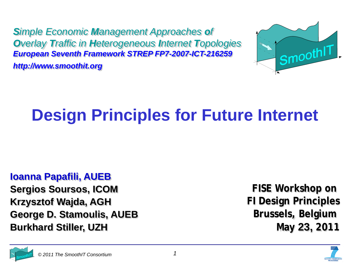*Simple Economic Management Approaches of Overlay Traffic in Heterogeneous Internet Topologies European Seventh Framework STREP FP7-2007-ICT-216259 http://www.smoothit.org*



## **Design Principles for Future Internet**

#### **Ioanna Papafili, AUEB**

**Sergios Soursos, ICOM Krzysztof Wajda, AGH George D. Stamoulis, AUEB Burkhard Stiller, UZH**

**FISE Workshop on FI Design Principles Brussels, Belgium May 23, 2011**



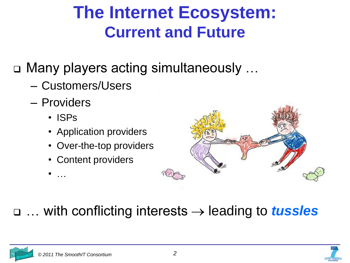### **The Internet Ecosystem: Current and Future**

- □ Many players acting simultaneously ...
	- Customers/Users
	- Providers
		- ISPs
		- Application providers
		- Over-the-top providers
		- Content providers



#### □ ... with conflicting interests  $\rightarrow$  leading to *tussles*

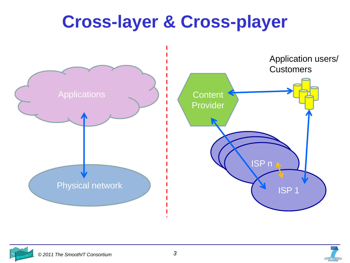## **Cross-layer & Cross-player**





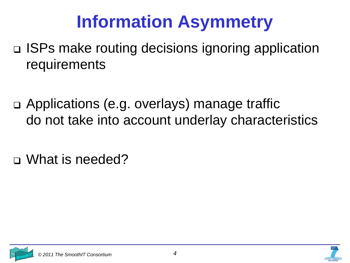## **Information Asymmetry**

- □ ISPs make routing decisions ignoring application requirements
- Applications (e.g. overlays) manage traffic do not take into account underlay characteristics
- What is needed?

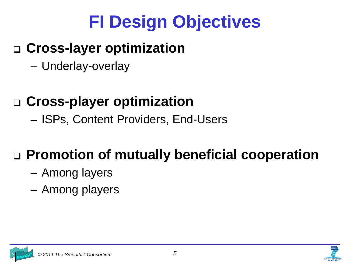## **FI Design Objectives**

#### **Cross-layer optimization**

Underlay-overlay

### **Cross-player optimization**

- ISPs, Content Providers, End-Users

### **Promotion of mutually beneficial cooperation**

- Among layers
- Among players

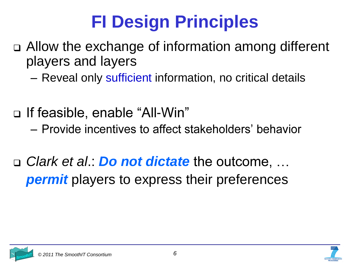# **FI Design Principles**

- Allow the exchange of information among different players and layers
	- Reveal only sufficient information, no critical details
- □ If feasible, enable "All-Win"
	- Provide incentives to affect stakeholders' behavior
- □ *Clark et al.*: *Do not dictate* the outcome, ... *permit* players to express their preferences

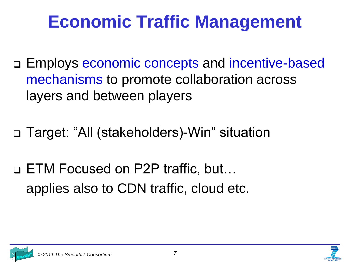## **Economic Traffic Management**

- □ Employs economic concepts and incentive-based mechanisms to promote collaboration across layers and between players
- □ Target: "All (stakeholders)-Win" situation
- □ ETM Focused on P2P traffic, but... applies also to CDN traffic, cloud etc.

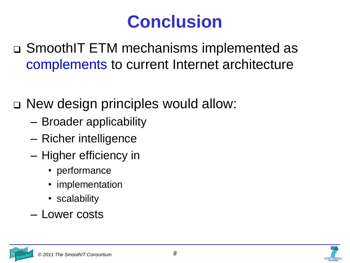## **Conclusion**

SmoothIT ETM mechanisms implemented as complements to current Internet architecture

□ New design principles would allow:

- Broader applicability
- Richer intelligence
- Higher efficiency in
	- performance
	- implementation
	- scalability
- Lower costs